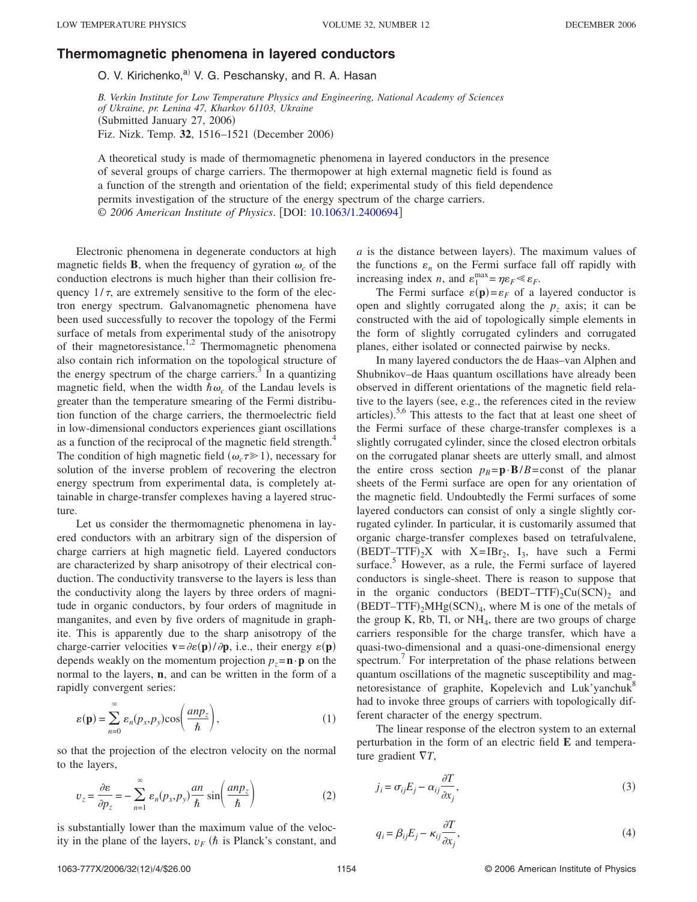## **[Thermomagnetic phenomena in layered conductors](http://dx.doi.org/10.1063/1.2400694)**

O. V. Kirichenko,<sup>a)</sup> V. G. Peschansky, and R. A. Hasan

*B. Verkin Institute for Low Temperature Physics and Engineering, National Academy of Sciences of Ukraine, pr. Lenina 47, Kharkov 61103, Ukraine* (Submitted January 27, 2006) Fiz. Nizk. Temp. 32, 1516-1521 (December 2006)

A theoretical study is made of thermomagnetic phenomena in layered conductors in the presence of several groups of charge carriers. The thermopower at high external magnetic field is found as a function of the strength and orientation of the field; experimental study of this field dependence permits investigation of the structure of the energy spectrum of the charge carriers. © 2006 American Institute of Physics. [DOI: [10.1063/1.2400694](http://dx.doi.org/10.1063/1.2400694)]

Electronic phenomena in degenerate conductors at high magnetic fields **B**, when the frequency of gyration  $\omega_c$  of the conduction electrons is much higher than their collision frequency  $1/\tau$ , are extremely sensitive to the form of the electron energy spectrum. Galvanomagnetic phenomena have been used successfully to recover the topology of the Fermi surface of metals from experimental study of the anisotropy of their magnetoresistance.<sup>1,2</sup> Thermomagnetic phenomena also contain rich information on the topological structure of the energy spectrum of the charge carriers. $3$  In a quantizing magnetic field, when the width  $\hbar \omega_c$  of the Landau levels is greater than the temperature smearing of the Fermi distribution function of the charge carriers, the thermoelectric field in low-dimensional conductors experiences giant oscillations as a function of the reciprocal of the magnetic field strength.<sup>4</sup> The condition of high magnetic field  $(\omega_c \tau \ge 1)$ , necessary for solution of the inverse problem of recovering the electron energy spectrum from experimental data, is completely attainable in charge-transfer complexes having a layered structure.

Let us consider the thermomagnetic phenomena in layered conductors with an arbitrary sign of the dispersion of charge carriers at high magnetic field. Layered conductors are characterized by sharp anisotropy of their electrical conduction. The conductivity transverse to the layers is less than the conductivity along the layers by three orders of magnitude in organic conductors, by four orders of magnitude in manganites, and even by five orders of magnitude in graphite. This is apparently due to the sharp anisotropy of the charge-carrier velocities  $\mathbf{v} = \partial \varepsilon(\mathbf{p}) / \partial \mathbf{p}$ , i.e., their energy  $\varepsilon(\mathbf{p})$ depends weakly on the momentum projection  $p_z = \mathbf{n} \cdot \mathbf{p}$  on the normal to the layers, **n**, and can be written in the form of a rapidly convergent series:

$$
\varepsilon(\mathbf{p}) = \sum_{n=0}^{\infty} \varepsilon_n(p_x, p_y) \cos\left(\frac{an p_z}{\hbar}\right),\tag{1}
$$

so that the projection of the electron velocity on the normal to the layers,

$$
v_z = \frac{\partial \varepsilon}{\partial p_z} = -\sum_{n=1}^{\infty} \varepsilon_n (p_x, p_y) \frac{an}{\hbar} \sin \left( \frac{an p_z}{\hbar} \right)
$$
 (2)

is substantially lower than the maximum value of the velocity in the plane of the layers,  $v_F$  ( $\hbar$  is Planck's constant, and

 $a$  is the distance between layers). The maximum values of the functions  $\varepsilon_n$  on the Fermi surface fall off rapidly with increasing index *n*, and  $\varepsilon_1^{\text{max}} = \eta \varepsilon_F \ll \varepsilon_F$ .

The Fermi surface  $\varepsilon(\mathbf{p}) = \varepsilon_F$  of a layered conductor is open and slightly corrugated along the  $p<sub>z</sub>$  axis; it can be constructed with the aid of topologically simple elements in the form of slightly corrugated cylinders and corrugated planes, either isolated or connected pairwise by necks.

In many layered conductors the de Haas–van Alphen and Shubnikov–de Haas quantum oscillations have already been observed in different orientations of the magnetic field relative to the layers (see, e.g., the references cited in the review articles).<sup>5,6</sup> This attests to the fact that at least one sheet of the Fermi surface of these charge-transfer complexes is a slightly corrugated cylinder, since the closed electron orbitals on the corrugated planar sheets are utterly small, and almost the entire cross section  $p_B = \mathbf{p} \cdot \mathbf{B}/B = \text{const}$  of the planar sheets of the Fermi surface are open for any orientation of the magnetic field. Undoubtedly the Fermi surfaces of some layered conductors can consist of only a single slightly corrugated cylinder. In particular, it is customarily assumed that organic charge-transfer complexes based on tetrafulvalene,  $(BEDT-TTF)_2X$  with  $X=IBr_2$ ,  $I_3$ , have such a Fermi surface.<sup>5</sup> However, as a rule, the Fermi surface of layered conductors is single-sheet. There is reason to suppose that in the organic conductors  $(BEDT-TTF)_{2}Cu(SCN)_{2}$  and  $(BEDT-TTF)_2MHg(SCN)_4$ , where M is one of the metals of the group K, Rb, Tl, or  $NH<sub>4</sub>$ , there are two groups of charge carriers responsible for the charge transfer, which have a quasi-two-dimensional and a quasi-one-dimensional energy spectrum.<sup>7</sup> For interpretation of the phase relations between quantum oscillations of the magnetic susceptibility and magnetoresistance of graphite, Kopelevich and Luk'yanchuk<sup>8</sup> had to invoke three groups of carriers with topologically different character of the energy spectrum.

The linear response of the electron system to an external perturbation in the form of an electric field **E** and temperature gradient *T*,

$$
j_i = \sigma_{ij} E_j - \alpha_{ij} \frac{\partial T}{\partial x_j},
$$
\n(3)

$$
q_i = \beta_{ij} E_j - \kappa_{ij} \frac{\partial T}{\partial x_j},\tag{4}
$$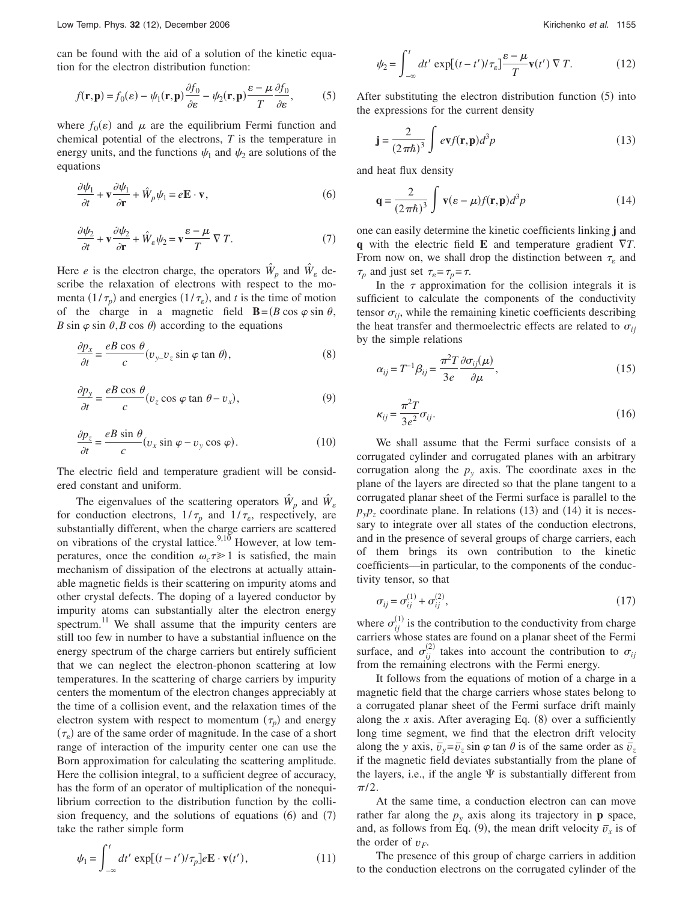can be found with the aid of a solution of the kinetic equation for the electron distribution function:

$$
f(\mathbf{r}, \mathbf{p}) = f_0(\varepsilon) - \psi_1(\mathbf{r}, \mathbf{p}) \frac{\partial f_0}{\partial \varepsilon} - \psi_2(\mathbf{r}, \mathbf{p}) \frac{\varepsilon - \mu}{T} \frac{\partial f_0}{\partial \varepsilon},
$$
 (5)

where  $f_0(\varepsilon)$  and  $\mu$  are the equilibrium Fermi function and chemical potential of the electrons, *T* is the temperature in energy units, and the functions  $\psi_1$  and  $\psi_2$  are solutions of the equations

$$
\frac{\partial \psi_1}{\partial t} + \mathbf{v} \frac{\partial \psi_1}{\partial \mathbf{r}} + \hat{W}_p \psi_1 = e\mathbf{E} \cdot \mathbf{v},\tag{6}
$$

$$
\frac{\partial \psi_2}{\partial t} + \mathbf{v} \frac{\partial \psi_2}{\partial \mathbf{r}} + \hat{W}_\varepsilon \psi_2 = \mathbf{v} \frac{\varepsilon - \mu}{T} \nabla T. \tag{7}
$$

Here *e* is the electron charge, the operators  $\hat{W}_p$  and  $\hat{W}_g$  describe the relaxation of electrons with respect to the momenta  $(1/\tau_p)$  and energies  $(1/\tau_s)$ , and *t* is the time of motion of the charge in a magnetic field **B**= $(B \cos \varphi \sin \theta,$ *B* sin  $\varphi$  sin  $\theta$ , *B* cos  $\theta$ ) according to the equations

$$
\frac{\partial p_x}{\partial t} = \frac{eB \cos \theta}{c} (v_{y} - v_z \sin \varphi \tan \theta), \tag{8}
$$

$$
\frac{\partial p_y}{\partial t} = \frac{eB\cos\theta}{c}(v_z\cos\varphi\tan\theta - v_x),\tag{9}
$$

$$
\frac{\partial p_z}{\partial t} = \frac{eB \sin \theta}{c} (v_x \sin \varphi - v_y \cos \varphi). \tag{10}
$$

The electric field and temperature gradient will be considered constant and uniform.

The eigenvalues of the scattering operators  $\hat{W}_p$  and  $\hat{W}_g$ for conduction electrons,  $1/\tau_p$  and  $1/\tau_s$ , respectively, are substantially different, when the charge carriers are scattered on vibrations of the crystal lattice.<sup>9,10</sup> However, at low temperatures, once the condition  $\omega_c \tau \geq 1$  is satisfied, the main mechanism of dissipation of the electrons at actually attainable magnetic fields is their scattering on impurity atoms and other crystal defects. The doping of a layered conductor by impurity atoms can substantially alter the electron energy spectrum.<sup>11</sup> We shall assume that the impurity centers are still too few in number to have a substantial influence on the energy spectrum of the charge carriers but entirely sufficient that we can neglect the electron-phonon scattering at low temperatures. In the scattering of charge carriers by impurity centers the momentum of the electron changes appreciably at the time of a collision event, and the relaxation times of the electron system with respect to momentum  $(\tau_p)$  and energy  $(\tau_{\epsilon})$  are of the same order of magnitude. In the case of a short range of interaction of the impurity center one can use the Born approximation for calculating the scattering amplitude. Here the collision integral, to a sufficient degree of accuracy, has the form of an operator of multiplication of the nonequilibrium correction to the distribution function by the collision frequency, and the solutions of equations  $(6)$  and  $(7)$ take the rather simple form

$$
\psi_2 = \int_{-\infty}^t dt' \, \exp[(t - t')/\tau_e] \frac{\varepsilon - \mu}{T} \mathbf{v}(t') \, \nabla T. \tag{12}
$$

After substituting the electron distribution function (5) into the expressions for the current density

$$
\mathbf{j} = \frac{2}{(2\pi\hbar)^3} \int e\mathbf{v} f(\mathbf{r}, \mathbf{p}) d^3 p \tag{13}
$$

and heat flux density

$$
\mathbf{q} = \frac{2}{(2\pi\hbar)^3} \int \mathbf{v}(\varepsilon - \mu) f(\mathbf{r}, \mathbf{p}) d^3 p \tag{14}
$$

one can easily determine the kinetic coefficients linking **j** and **q** with the electric field **E** and temperature gradient *T*. From now on, we shall drop the distinction between  $\tau_{\varepsilon}$  and  $\tau_p$  and just set  $\tau_{\varepsilon} = \tau_p = \tau$ .

In the  $\tau$  approximation for the collision integrals it is sufficient to calculate the components of the conductivity tensor  $\sigma_{ij}$ , while the remaining kinetic coefficients describing the heat transfer and thermoelectric effects are related to  $\sigma_{ij}$ by the simple relations

$$
\alpha_{ij} = T^{-1}\beta_{ij} = \frac{\pi^2 T}{3e} \frac{\partial \sigma_{ij}(\mu)}{\partial \mu},\tag{15}
$$

$$
\kappa_{ij} = \frac{\pi^2 T}{3e^2} \sigma_{ij}.
$$
\n(16)

We shall assume that the Fermi surface consists of a corrugated cylinder and corrugated planes with an arbitrary corrugation along the  $p_y$  axis. The coordinate axes in the plane of the layers are directed so that the plane tangent to a corrugated planar sheet of the Fermi surface is parallel to the  $p_y p_z$  coordinate plane. In relations (13) and (14) it is necessary to integrate over all states of the conduction electrons, and in the presence of several groups of charge carriers, each of them brings its own contribution to the kinetic coefficients—in particular, to the components of the conductivity tensor, so that

$$
\sigma_{ij} = \sigma_{ij}^{(1)} + \sigma_{ij}^{(2)},\tag{17}
$$

where  $\sigma_{ij}^{(1)}$  is the contribution to the conductivity from charge carriers whose states are found on a planar sheet of the Fermi surface, and  $\sigma_{ij}^{(2)}$  takes into account the contribution to  $\sigma_{ij}$ from the remaining electrons with the Fermi energy.

It follows from the equations of motion of a charge in a magnetic field that the charge carriers whose states belong to a corrugated planar sheet of the Fermi surface drift mainly along the  $x$  axis. After averaging Eq.  $(8)$  over a sufficiently long time segment, we find that the electron drift velocity along the *y* axis,  $\overline{v}_y = \overline{v}_z \sin \varphi \tan \theta$  is of the same order as  $\overline{v}_z$ if the magnetic field deviates substantially from the plane of the layers, i.e., if the angle  $\Psi$  is substantially different from  $\pi/2$ .

At the same time, a conduction electron can can move rather far along the  $p_y$  axis along its trajectory in **p** space, and, as follows from Eq. (9), the mean drift velocity  $\bar{v}_x$  is of the order of  $v_F$ .

The presence of this group of charge carriers in addition to the conduction electrons on the corrugated cylinder of the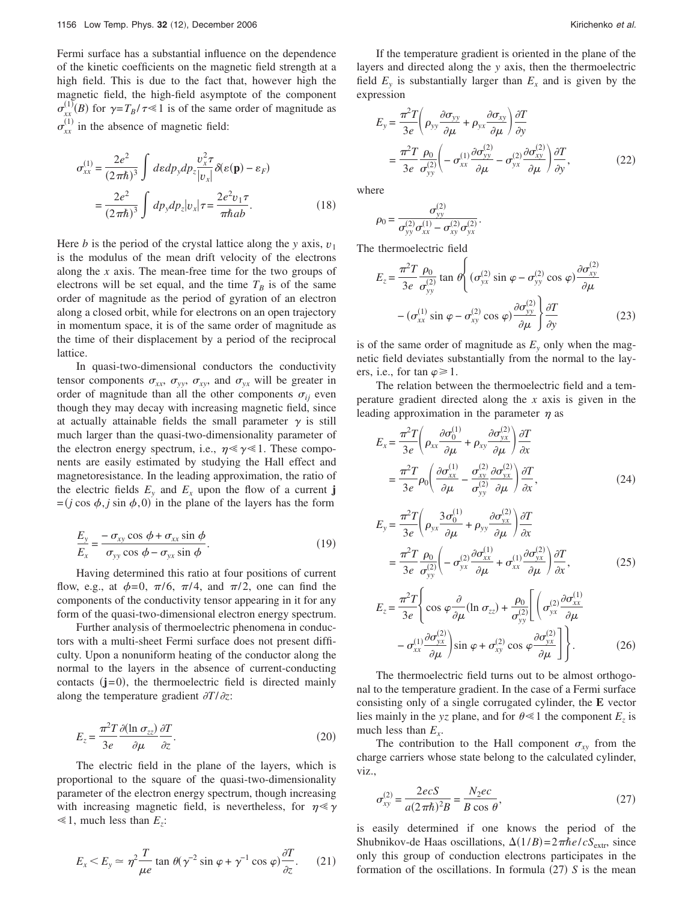Fermi surface has a substantial influence on the dependence of the kinetic coefficients on the magnetic field strength at a high field. This is due to the fact that, however high the magnetic field, the high-field asymptote of the component  $\sigma_{xx}^{(1)}(B)$  for  $\gamma = T_B/\tau \ll 1$  is of the same order of magnitude as  $\sigma_{xx}^{(1)}$  in the absence of magnetic field:

$$
\sigma_{xx}^{(1)} = \frac{2e^2}{(2\pi\hbar)^3} \int d\varepsilon dp_y dp_z \frac{v_x^2 \tau}{|v_x|} \delta(\varepsilon(\mathbf{p}) - \varepsilon_F)
$$

$$
= \frac{2e^2}{(2\pi\hbar)^3} \int dp_y dp_z |v_x| \tau = \frac{2e^2 v_1 \tau}{\pi\hbar ab}.
$$
(18)

Here *b* is the period of the crystal lattice along the *y* axis,  $v_1$ is the modulus of the mean drift velocity of the electrons along the *x* axis. The mean-free time for the two groups of electrons will be set equal, and the time  $T_B$  is of the same order of magnitude as the period of gyration of an electron along a closed orbit, while for electrons on an open trajectory in momentum space, it is of the same order of magnitude as the time of their displacement by a period of the reciprocal lattice.

In quasi-two-dimensional conductors the conductivity tensor components  $\sigma_{xx}$ ,  $\sigma_{yy}$ ,  $\sigma_{xy}$ , and  $\sigma_{yx}$  will be greater in order of magnitude than all the other components  $\sigma_{ij}$  even though they may decay with increasing magnetic field, since at actually attainable fields the small parameter  $\gamma$  is still much larger than the quasi-two-dimensionality parameter of the electron energy spectrum, i.e.,  $\eta \ll \gamma \ll 1$ . These components are easily estimated by studying the Hall effect and magnetoresistance. In the leading approximation, the ratio of the electric fields  $E_y$  and  $E_x$  upon the flow of a current **j**  $=(j \cos \phi, j \sin \phi, 0)$  in the plane of the layers has the form

$$
\frac{E_y}{E_x} = \frac{-\sigma_{xy}\cos\phi + \sigma_{xx}\sin\phi}{\sigma_{yy}\cos\phi - \sigma_{yx}\sin\phi}.
$$
\n(19)

Having determined this ratio at four positions of current flow, e.g., at  $\phi=0$ ,  $\pi/6$ ,  $\pi/4$ , and  $\pi/2$ , one can find the components of the conductivity tensor appearing in it for any form of the quasi-two-dimensional electron energy spectrum.

Further analysis of thermoelectric phenomena in conductors with a multi-sheet Fermi surface does not present difficulty. Upon a nonuniform heating of the conductor along the normal to the layers in the absence of current-conducting contacts  $(j=0)$ , the thermoelectric field is directed mainly along the temperature gradient  $\partial T / \partial z$ :

$$
E_z = \frac{\pi^2 T}{3e} \frac{\partial (\ln \sigma_{zz})}{\partial \mu} \frac{\partial T}{\partial z}.
$$
 (20)

The electric field in the plane of the layers, which is proportional to the square of the quasi-two-dimensionality parameter of the electron energy spectrum, though increasing with increasing magnetic field, is nevertheless, for  $\eta \ll \gamma$  $\leq 1$ , much less than  $E_z$ :

$$
E_x < E_y \simeq \eta^2 \frac{T}{\mu e} \tan \theta (\gamma^{-2} \sin \varphi + \gamma^{-1} \cos \varphi) \frac{\partial T}{\partial z}.\tag{21}
$$

If the temperature gradient is oriented in the plane of the layers and directed along the *y* axis, then the thermoelectric field  $E_y$  is substantially larger than  $E_x$  and is given by the expression

$$
E_y = \frac{\pi^2 T}{3e} \left( \rho_{yy} \frac{\partial \sigma_{yy}}{\partial \mu} + \rho_{yx} \frac{\partial \sigma_{xy}}{\partial \mu} \right) \frac{\partial T}{\partial y}
$$
  
= 
$$
\frac{\pi^2 T}{3e} \frac{\rho_0}{\sigma_{yy}^{(2)}} \left( -\sigma_{xx}^{(1)} \frac{\partial \sigma_{yy}^{(2)}}{\partial \mu} - \sigma_{yx}^{(2)} \frac{\partial \sigma_{xy}^{(2)}}{\partial \mu} \right) \frac{\partial T}{\partial y},
$$
(22)

where

$$
\rho_0 = \frac{\sigma_{yy}^{(2)}}{\sigma_{yy}^{(2)} \sigma_{xx}^{(1)} - \sigma_{xy}^{(2)} \sigma_{yx}^{(2)}}.
$$

The thermoelectric field

$$
E_z = \frac{\pi^2 T}{3e} \frac{\rho_0}{\sigma_{yy}^{(2)}} \tan \theta \left\{ (\sigma_{yx}^{(2)} \sin \varphi - \sigma_{yy}^{(2)} \cos \varphi) \frac{\partial \sigma_{xy}^{(2)}}{\partial \mu} - (\sigma_{xx}^{(1)} \sin \varphi - \sigma_{xy}^{(2)} \cos \varphi) \frac{\partial \sigma_{yy}^{(2)}}{\partial \mu} \right\} \frac{\partial T}{\partial y}
$$
(23)

is of the same order of magnitude as  $E_y$  only when the magnetic field deviates substantially from the normal to the layers, i.e., for tan  $\varphi \ge 1$ .

The relation between the thermoelectric field and a temperature gradient directed along the *x* axis is given in the leading approximation in the parameter  $\eta$  as

$$
E_x = \frac{\pi^2 T}{3e} \left( \rho_{xx} \frac{\partial \sigma_0^{(1)}}{\partial \mu} + \rho_{xy} \frac{\partial \sigma_{yx}^{(2)}}{\partial \mu} \right) \frac{\partial T}{\partial x}
$$
  
= 
$$
\frac{\pi^2 T}{3e} \rho_0 \left( \frac{\partial \sigma_{xx}^{(1)}}{\partial \mu} - \frac{\sigma_{xy}^{(2)}}{\sigma_{yy}^{(2)}} \frac{\partial \sigma_{yx}^{(2)}}{\partial \mu} \right) \frac{\partial T}{\partial x},
$$
(24)

$$
E_y = \frac{\pi^2 T}{3e} \left( \rho_{yx} \frac{3\sigma_0^{(1)}}{\partial \mu} + \rho_{yy} \frac{\partial \sigma_{yx}^{(2)}}{\partial \mu} \right) \frac{\partial T}{\partial x}
$$
  
= 
$$
\frac{\pi^2 T}{3e} \frac{\rho_0}{\sigma_{yy}^{(2)}} \left( -\sigma_{yx}^{(2)} \frac{\partial \sigma_{xx}^{(1)}}{\partial \mu} + \sigma_{xx}^{(1)} \frac{\partial \sigma_{yx}^{(2)}}{\partial \mu} \right) \frac{\partial T}{\partial x},
$$
(25)

$$
E_z = \frac{\pi^2 T}{3e} \left\{ \cos \varphi \frac{\partial}{\partial \mu} (\ln \sigma_{zz}) + \frac{\rho_0}{\sigma_{yy}^{(2)}} \left[ \left( \sigma_{yx}^{(2)} \frac{\partial \sigma_{xx}^{(1)}}{\partial \mu} \right) - \sigma_{xx}^{(1)} \frac{\partial \sigma_{yx}^{(2)}}{\partial \mu} \right] \sin \varphi + \sigma_{xy}^{(2)} \cos \varphi \frac{\partial \sigma_{yx}^{(2)}}{\partial \mu} \right] \right\}.
$$
 (26)

The thermoelectric field turns out to be almost orthogonal to the temperature gradient. In the case of a Fermi surface consisting only of a single corrugated cylinder, the **E** vector lies mainly in the *yz* plane, and for  $\theta \ll 1$  the component  $E_z$  is much less than  $E_x$ .

The contribution to the Hall component  $\sigma_{xy}$  from the charge carriers whose state belong to the calculated cylinder, viz.,

$$
\sigma_{xy}^{(2)} = \frac{2ecS}{a(2\pi\hbar)^2 B} = \frac{N_2ec}{B\cos\theta},
$$
\n(27)

is easily determined if one knows the period of the Shubnikov-de Haas oscillations,  $\Delta(1/B) = 2\pi\hbar e/cS_{\text{extr}}$ , since only this group of conduction electrons participates in the formation of the oscillations. In formula  $(27)$  S is the mean